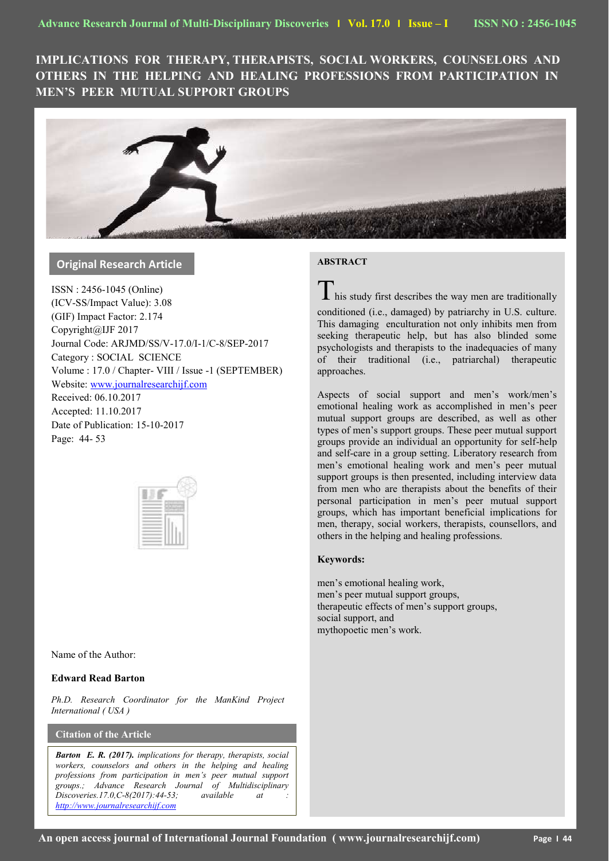**IMPLICATIONS FOR THERAPY, THERAPISTS, SOCIAL WORKERS, COUNSELORS AND OTHERS IN THE HELPING AND HEALING PROFESSIONS FROM PARTICIPATION IN MEN'S PEER MUTUAL SUPPORT GROUPS**



# **Original Research Article**

ISSN : 2456-1045 (Online) (ICV-SS/Impact Value): 3.08 (GIF) Impact Factor: 2.174 Copyright@IJF 2017 Journal Code: ARJMD/SS/V-17.0/I-1/C-8/SEP-2017 Category : SOCIAL SCIENCE Volume : 17.0 / Chapter- VIII / Issue -1 (SEPTEMBER) Website: [www.journalresearchijf.com](http://www.journalresearchijf.com/) Received: 06.10.2017 Accepted: 11.10.2017 Date of Publication: 15-10-2017 Page: 44- 53

Name of the Author:

# **Edward Read Barton**

*Ph.D. Research Coordinator for the ManKind Project International ( USA )*

# **Citation of the Article**

**e;**

*Barton E. R. (2017). implications for therapy, therapists, social workers, counselors and others in the helping and healing professions from participation in men's peer mutual support groups.; Advance Research Journal of Multidisciplinary Discoveries.17.0, C-8(2017): 44-53; available at [http://www.journalresearchijf.com](http://www.journalresearchijf.com/)*

## **ABSTRACT**

 $\mathbf I$  his study first describes the way men are traditionally

conditioned (i.e., damaged) by patriarchy in U.S. culture. This damaging enculturation not only inhibits men from seeking therapeutic help, but has also blinded some psychologists and therapists to the inadequacies of many of their traditional (i.e., patriarchal) therapeutic approaches.

Aspects of social support and men's work/men's emotional healing work as accomplished in men's peer mutual support groups are described, as well as other types of men's support groups. These peer mutual support groups provide an individual an opportunity for self-help and self-care in a group setting. Liberatory research from men's emotional healing work and men's peer mutual support groups is then presented, including interview data from men who are therapists about the benefits of their personal participation in men's peer mutual support groups, which has important beneficial implications for men, therapy, social workers, therapists, counsellors, and others in the helping and healing professions.

#### **Keywords:**

men's emotional healing work, men's peer mutual support groups, therapeutic effects of men's support groups, social support, and mythopoetic men's work.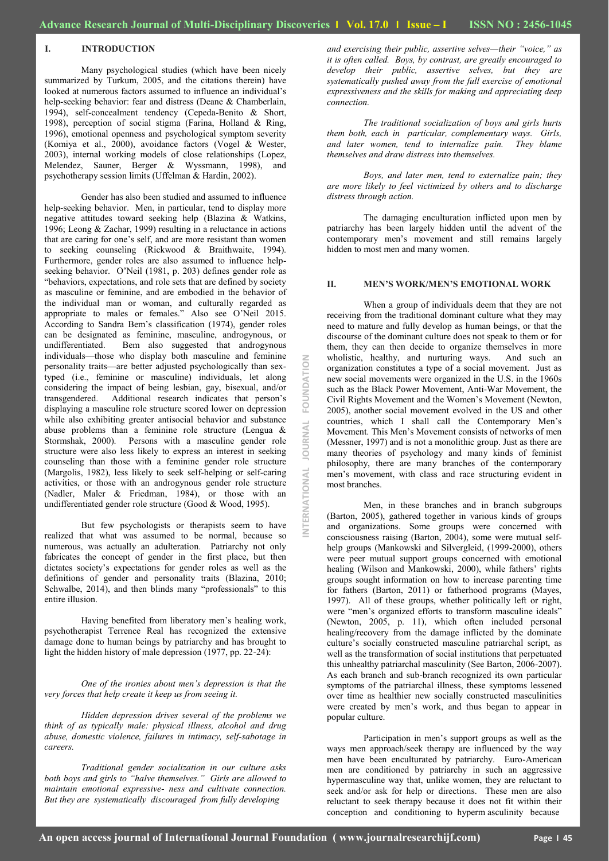OURNAL

NTERNATIONAL

FOUNDATION

#### **I. INTRODUCTION**

Many psychological studies (which have been nicely summarized by Turkum, 2005, and the citations therein) have looked at numerous factors assumed to influence an individual's help-seeking behavior: fear and distress (Deane & Chamberlain, 1994), self-concealment tendency (Cepeda-Benito & Short, 1998), perception of social stigma (Farina, Holland & Ring, 1996), emotional openness and psychological symptom severity (Komiya et al., 2000), avoidance factors (Vogel & Wester, 2003), internal working models of close relationships (Lopez, Melendez, Sauner, Berger & Wyssmann, 1998), and psychotherapy session limits (Uffelman & Hardin, 2002).

Gender has also been studied and assumed to influence help-seeking behavior. Men, in particular, tend to display more negative attitudes toward seeking help (Blazina & Watkins, 1996; Leong & Zachar, 1999) resulting in a reluctance in actions that are caring for one's self, and are more resistant than women to seeking counseling (Rickwood & Braithwaite, 1994). Furthermore, gender roles are also assumed to influence helpseeking behavior. O'Neil (1981, p. 203) defines gender role as "behaviors, expectations, and role sets that are defined by society as masculine or feminine, and are embodied in the behavior of the individual man or woman, and culturally regarded as appropriate to males or females." Also see O'Neil 2015. According to Sandra Bem's classification (1974), gender roles can be designated as feminine, masculine, androgynous, or Bem also suggested that androgynous individuals—those who display both masculine and feminine personality traits—are better adjusted psychologically than sextyped (i.e., feminine or masculine) individuals, let along considering the impact of being lesbian, gay, bisexual, and/or transgendered. Additional research indicates that person's displaying a masculine role structure scored lower on depression while also exhibiting greater antisocial behavior and substance abuse problems than a feminine role structure (Lengua & Stormshak, 2000). Persons with a masculine gender role structure were also less likely to express an interest in seeking counseling than those with a feminine gender role structure (Margolis, 1982), less likely to seek self-helping or self-caring activities, or those with an androgynous gender role structure (Nadler, Maler & Friedman, 1984), or those with an undifferentiated gender role structure (Good & Wood, 1995).

But few psychologists or therapists seem to have realized that what was assumed to be normal, because so numerous, was actually an adulteration. Patriarchy not only fabricates the concept of gender in the first place, but then dictates society's expectations for gender roles as well as the definitions of gender and personality traits (Blazina, 2010; Schwalbe,  $2014$ ), and then blinds many "professionals" to this entire illusion.

Having benefited from liberatory men's healing work, psychotherapist Terrence Real has recognized the extensive damage done to human beings by patriarchy and has brought to light the hidden history of male depression (1977, pp. 22-24):

*One of the ironies about men's depression is that the very forces that help create it keep us from seeing it.* 

*Hidden depression drives several of the problems we think of as typically male: physical illness, alcohol and drug abuse, domestic violence, failures in intimacy, self-sabotage in careers.*

*Traditional gender socialization in our culture asks both boys and girls to "halve themselves." Girls are allowed to maintain emotional expressive- ness and cultivate connection. But they are systematically discouraged from fully developing*

*and exercising their public, assertive selves—their "voice," as it is often called. Boys, by contrast, are greatly encouraged to develop their public, assertive selves, but they are systematically pushed away from the full exercise of emotional expressiveness and the skills for making and appreciating deep connection.*

*The traditional socialization of boys and girls hurts them both, each in particular, complementary ways. Girls, and later women, tend to internalize pain. They blame themselves and draw distress into themselves.* 

*Boys, and later men, tend to externalize pain; they are more likely to feel victimized by others and to discharge distress through action.*

The damaging enculturation inflicted upon men by patriarchy has been largely hidden until the advent of the contemporary men's movement and still remains largely hidden to most men and many women.

### **II. MEN'S WORK/MEN'S EMOTIONAL WORK**

When a group of individuals deem that they are not receiving from the traditional dominant culture what they may need to mature and fully develop as human beings, or that the discourse of the dominant culture does not speak to them or for them, they can then decide to organize themselves in more wholistic, healthy, and nurturing ways. And such an organization constitutes a type of a social movement. Just as new social movements were organized in the U.S. in the 1960s such as the Black Power Movement, Anti-War Movement, the Civil Rights Movement and the Women's Movement (Newton, 2005), another social movement evolved in the US and other countries, which I shall call the Contemporary Men's Movement. This Men's Movement consists of networks of men (Messner, 1997) and is not a monolithic group. Just as there are many theories of psychology and many kinds of feminist philosophy, there are many branches of the contemporary men's movement, with class and race structuring evident in most branches.

Men, in these branches and in branch subgroups (Barton, 2005), gathered together in various kinds of groups and organizations. Some groups were concerned with consciousness raising (Barton, 2004), some were mutual selfhelp groups (Mankowski and Silvergleid, (1999-2000), others were peer mutual support groups concerned with emotional healing (Wilson and Mankowski, 2000), while fathers' rights groups sought information on how to increase parenting time for fathers (Barton, 2011) or fatherhood programs (Mayes, 1997). All of these groups, whether politically left or right, were "men's organized efforts to transform masculine ideals" (Newton, 2005, p. 11), which often included personal healing/recovery from the damage inflicted by the dominate culture's socially constructed masculine patriarchal script, as well as the transformation of social institutions that perpetuated this unhealthy patriarchal masculinity (See Barton, 2006-2007). As each branch and sub-branch recognized its own particular symptoms of the patriarchal illness, these symptoms lessened over time as healthier new socially constructed masculinities were created by men's work, and thus began to appear in popular culture.

Participation in men's support groups as well as the ways men approach/seek therapy are influenced by the way men have been enculturated by patriarchy. Euro-American men are conditioned by patriarchy in such an aggressive hypermasculine way that, unlike women, they are reluctant to seek and/or ask for help or directions. These men are also reluctant to seek therapy because it does not fit within their conception and conditioning to hyperm asculinity because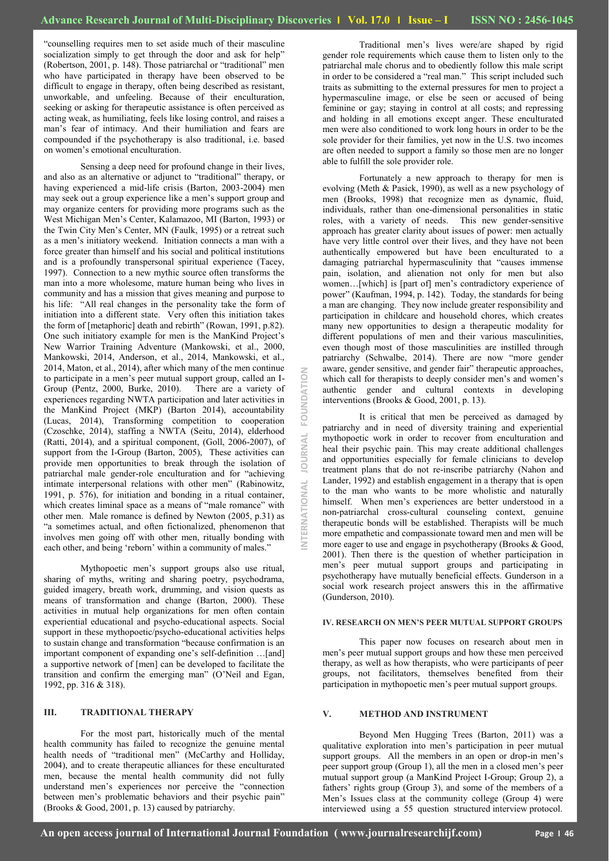ERNATIONAL

**RNAL** JOU

 $\leq$ 

FOUNDATI

―counselling requires men to set aside much of their masculine socialization simply to get through the door and ask for help" (Robertson, 2001, p. 148). Those patriarchal or "traditional" men who have participated in therapy have been observed to be difficult to engage in therapy, often being described as resistant, unworkable, and unfeeling. Because of their enculturation, seeking or asking for therapeutic assistance is often perceived as acting weak, as humiliating, feels like losing control, and raises a man's fear of intimacy. And their humiliation and fears are compounded if the psychotherapy is also traditional, i.e. based on women's emotional enculturation.

Sensing a deep need for profound change in their lives, and also as an alternative or adjunct to "traditional" therapy, or having experienced a mid-life crisis (Barton, 2003-2004) men may seek out a group experience like a men's support group and may organize centers for providing more programs such as the West Michigan Men's Center, Kalamazoo, MI (Barton, 1993) or the Twin City Men's Center, MN (Faulk, 1995) or a retreat such as a men's initiatory weekend. Initiation connects a man with a force greater than himself and his social and political institutions and is a profoundly transpersonal spiritual experience (Tacey, 1997). Connection to a new mythic source often transforms the man into a more wholesome, mature human being who lives in community and has a mission that gives meaning and purpose to his life: "All real changes in the personality take the form of initiation into a different state. Very often this initiation takes the form of [metaphoric] death and rebirth" (Rowan, 1991, p.82). One such initiatory example for men is the ManKind Project's New Warrior Training Adventure (Mankowski, et al., 2000, Mankowski, 2014, Anderson, et al., 2014, Mankowski, et al., 2014, Maton, et al., 2014), after which many of the men continue to participate in a men's peer mutual support group, called an I-Group (Pentz, 2000, Burke, 2010). There are a variety of experiences regarding NWTA participation and later activities in the ManKind Project (MKP) (Barton 2014), accountability (Lucas, 2014), Transforming competition to cooperation (Czoschke, 2014), staffing a NWTA (Seitu, 2014), elderhood (Ratti, 2014), and a spiritual component, (Goll, 2006-2007), of support from the I-Group (Barton, 2005), These activities can provide men opportunities to break through the isolation of patriarchal male gender-role enculturation and for "achieving intimate interpersonal relations with other men" (Rabinowitz, 1991, p. 576), for initiation and bonding in a ritual container, which creates liminal space as a means of "male romance" with other men. Male romance is defined by Newton (2005, p.31) as ―a sometimes actual, and often fictionalized, phenomenon that involves men going off with other men, ritually bonding with each other, and being 'reborn' within a community of males.'

Mythopoetic men's support groups also use ritual, sharing of myths, writing and sharing poetry, psychodrama, guided imagery, breath work, drumming, and vision quests as means of transformation and change (Barton, 2000). These activities in mutual help organizations for men often contain experiential educational and psycho-educational aspects. Social support in these mythopoetic/psycho-educational activities helps to sustain change and transformation "because confirmation is an important component of expanding one's self-definition …[and] a supportive network of [men] can be developed to facilitate the transition and confirm the emerging man" (O'Neil and Egan, 1992, pp. 316 & 318).

# **III. TRADITIONAL THERAPY**

For the most part, historically much of the mental health community has failed to recognize the genuine mental health needs of "traditional men" (McCarthy and Holliday, 2004), and to create therapeutic alliances for these enculturated men, because the mental health community did not fully understand men's experiences nor perceive the "connection between men's problematic behaviors and their psychic pain" (Brooks & Good, 2001, p. 13) caused by patriarchy.

Traditional men's lives were/are shaped by rigid gender role requirements which cause them to listen only to the patriarchal male chorus and to obediently follow this male script in order to be considered a "real man." This script included such traits as submitting to the external pressures for men to project a hypermasculine image, or else be seen or accused of being feminine or gay; staying in control at all costs; and repressing and holding in all emotions except anger. These enculturated men were also conditioned to work long hours in order to be the sole provider for their families, yet now in the U.S. two incomes are often needed to support a family so those men are no longer able to fulfill the sole provider role.

Fortunately a new approach to therapy for men is evolving (Meth & Pasick, 1990), as well as a new psychology of men (Brooks, 1998) that recognize men as dynamic, fluid, individuals, rather than one-dimensional personalities in static roles, with a variety of needs. This new gender-sensitive approach has greater clarity about issues of power: men actually have very little control over their lives, and they have not been authentically empowered but have been enculturated to a damaging patriarchal hypermasculinity that "causes immense pain, isolation, and alienation not only for men but also women…[which] is [part of] men's contradictory experience of power" (Kaufman, 1994, p. 142). Today, the standards for being a man are changing. They now include greater responsibility and participation in childcare and household chores, which creates many new opportunities to design a therapeutic modality for different populations of men and their various masculinities, even though most of those masculinities are instilled through patriarchy (Schwalbe, 2014). There are now "more gender aware, gender sensitive, and gender fair" therapeutic approaches, which call for therapists to deeply consider men's and women's authentic gender and cultural contexts in developing interventions (Brooks & Good, 2001, p. 13).

It is critical that men be perceived as damaged by patriarchy and in need of diversity training and experiential mythopoetic work in order to recover from enculturation and heal their psychic pain. This may create additional challenges and opportunities especially for female clinicians to develop treatment plans that do not re-inscribe patriarchy (Nahon and Lander, 1992) and establish engagement in a therapy that is open to the man who wants to be more wholistic and naturally himself. When men's experiences are better understood in a non-patriarchal cross-cultural counseling context, genuine therapeutic bonds will be established. Therapists will be much more empathetic and compassionate toward men and men will be more eager to use and engage in psychotherapy (Brooks & Good, 2001). Then there is the question of whether participation in men's peer mutual support groups and participating in psychotherapy have mutually beneficial effects. Gunderson in a social work research project answers this in the affirmative (Gunderson, 2010).

#### **IV. RESEARCH ON MEN'S PEER MUTUAL SUPPORT GROUPS**

This paper now focuses on research about men in men's peer mutual support groups and how these men perceived therapy, as well as how therapists, who were participants of peer groups, not facilitators, themselves benefited from their participation in mythopoetic men's peer mutual support groups.

#### **V. METHOD AND INSTRUMENT**

Beyond Men Hugging Trees (Barton, 2011) was a qualitative exploration into men's participation in peer mutual support groups. All the members in an open or drop-in men's peer support group (Group 1), all the men in a closed men's peer mutual support group (a ManKind Project I-Group; Group 2), a fathers' rights group (Group 3), and some of the members of a Men's Issues class at the community college (Group 4) were interviewed using a 55 question structured interview protocol.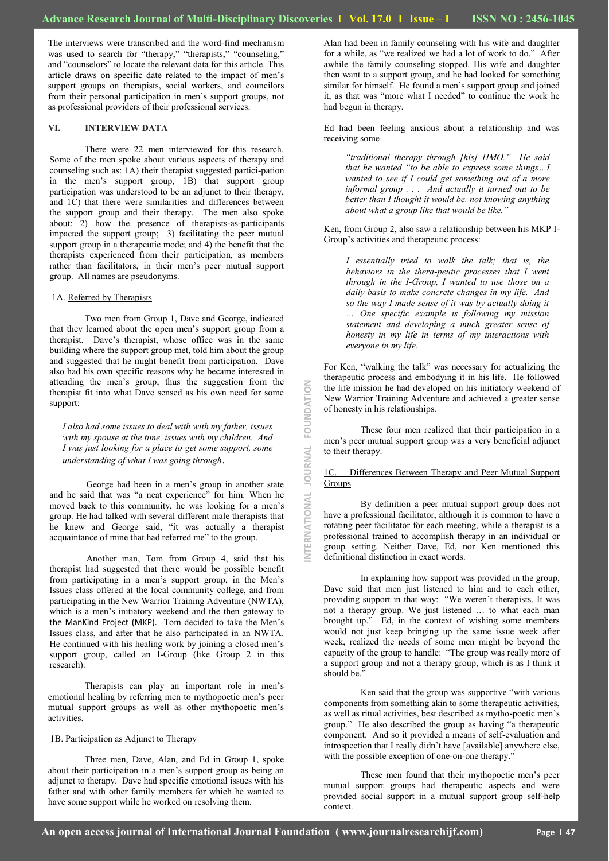NTERNATIONAL

**JOURNAL** 

FOUNDATION

The interviews were transcribed and the word-find mechanism was used to search for "therapy," "therapists," "counseling," and "counselors" to locate the relevant data for this article. This article draws on specific date related to the impact of men's support groups on therapists, social workers, and councilors from their personal participation in men's support groups, not as professional providers of their professional services.

### **VI. INTERVIEW DATA**

There were 22 men interviewed for this research. Some of the men spoke about various aspects of therapy and counseling such as: 1A) their therapist suggested partici-pation in the men's support group, 1B) that support group participation was understood to be an adjunct to their therapy, and 1C) that there were similarities and differences between the support group and their therapy. The men also spoke about: 2) how the presence of therapists-as-participants impacted the support group; 3) facilitating the peer mutual support group in a therapeutic mode; and 4) the benefit that the therapists experienced from their participation, as members rather than facilitators, in their men's peer mutual support group. All names are pseudonyms.

#### 1A. Referred by Therapists

Two men from Group 1, Dave and George, indicated that they learned about the open men's support group from a therapist. Dave's therapist, whose office was in the same building where the support group met, told him about the group and suggested that he might benefit from participation. Dave also had his own specific reasons why he became interested in attending the men's group, thus the suggestion from the therapist fit into what Dave sensed as his own need for some support:

*I also had some issues to deal with with my father, issues with my spouse at the time, issues with my children. And I was just looking for a place to get some support, some understanding of what I was going through*.

George had been in a men's group in another state and he said that was "a neat experience" for him. When he moved back to this community, he was looking for a men's group. He had talked with several different male therapists that he knew and George said, "it was actually a therapist acquaintance of mine that had referred me" to the group.

Another man, Tom from Group 4, said that his therapist had suggested that there would be possible benefit from participating in a men's support group, in the Men's Issues class offered at the local community college, and from participating in the New Warrior Training Adventure (NWTA), which is a men's initiatory weekend and the then gateway to the ManKind Project (MKP). Tom decided to take the Men's Issues class, and after that he also participated in an NWTA. He continued with his healing work by joining a closed men's support group, called an I-Group (like Group 2 in this research).

Therapists can play an important role in men's emotional healing by referring men to mythopoetic men's peer mutual support groups as well as other mythopoetic men's activities.

#### 1B. Participation as Adjunct to Therapy

Three men, Dave, Alan, and Ed in Group 1, spoke about their participation in a men's support group as being an adjunct to therapy. Dave had specific emotional issues with his father and with other family members for which he wanted to have some support while he worked on resolving them.

Alan had been in family counseling with his wife and daughter for a while, as "we realized we had a lot of work to do." After awhile the family counseling stopped. His wife and daughter then want to a support group, and he had looked for something similar for himself. He found a men's support group and joined it, as that was "more what I needed" to continue the work he had begun in therapy.

Ed had been feeling anxious about a relationship and was receiving some

*―traditional therapy through [his] HMO.‖ He said that he wanted "to be able to express some things...I wanted to see if I could get something out of a more informal group . . . And actually it turned out to be better than I thought it would be, not knowing anything about what a group like that would be like.‖* 

Ken, from Group 2, also saw a relationship between his MKP I-Group's activities and therapeutic process:

*I essentially tried to walk the talk; that is, the behaviors in the thera-peutic processes that I went through in the I-Group, I wanted to use those on a daily basis to make concrete changes in my life. And so the way I made sense of it was by actually doing it … One specific example is following my mission statement and developing a much greater sense of honesty in my life in terms of my interactions with everyone in my life.*

For Ken, "walking the talk" was necessary for actualizing the therapeutic process and embodying it in his life. He followed the life mission he had developed on his initiatory weekend of New Warrior Training Adventure and achieved a greater sense of honesty in his relationships.

These four men realized that their participation in a men's peer mutual support group was a very beneficial adjunct to their therapy.

#### 1C. Differences Between Therapy and Peer Mutual Support **Groups**

By definition a peer mutual support group does not have a professional facilitator, although it is common to have a rotating peer facilitator for each meeting, while a therapist is a professional trained to accomplish therapy in an individual or group setting. Neither Dave, Ed, nor Ken mentioned this definitional distinction in exact words.

In explaining how support was provided in the group, Dave said that men just listened to him and to each other, providing support in that way: "We weren't therapists. It was not a therapy group. We just listened … to what each man brought up." Ed, in the context of wishing some members would not just keep bringing up the same issue week after week, realized the needs of some men might be beyond the capacity of the group to handle: "The group was really more of a support group and not a therapy group, which is as I think it should be.'

Ken said that the group was supportive "with various components from something akin to some therapeutic activities, as well as ritual activities, best described as mytho-poetic men's group." He also described the group as having "a therapeutic component. And so it provided a means of self-evaluation and introspection that I really didn't have [available] anywhere else, with the possible exception of one-on-one therapy.'

These men found that their mythopoetic men's peer mutual support groups had therapeutic aspects and were provided social support in a mutual support group self-help context.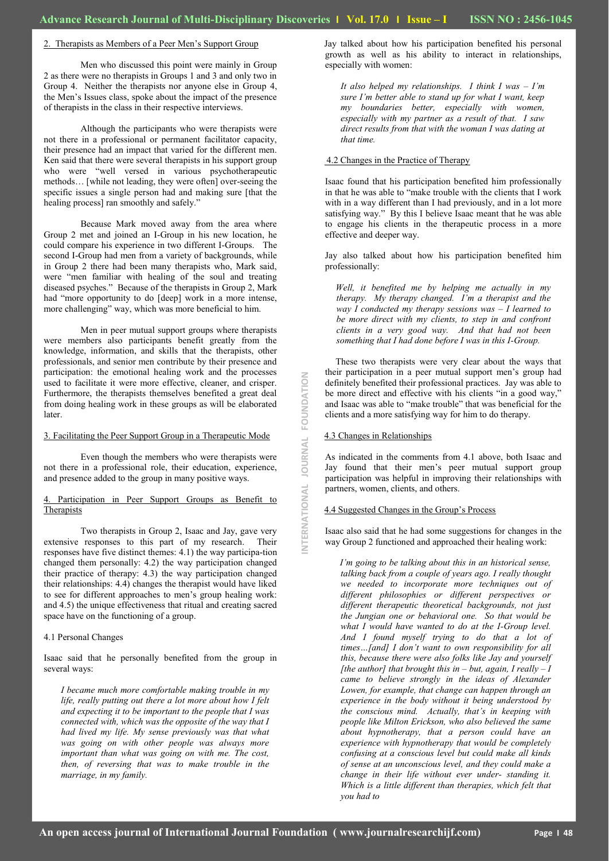### 2. Therapists as Members of a Peer Men's Support Group

Men who discussed this point were mainly in Group 2 as there were no therapists in Groups 1 and 3 and only two in Group 4. Neither the therapists nor anyone else in Group 4, the Men's Issues class, spoke about the impact of the presence of therapists in the class in their respective interviews.

Although the participants who were therapists were not there in a professional or permanent facilitator capacity, their presence had an impact that varied for the different men. Ken said that there were several therapists in his support group who were "well versed in various psychotherapeutic methods… [while not leading, they were often] over-seeing the specific issues a single person had and making sure [that the healing process] ran smoothly and safely."

Because Mark moved away from the area where Group 2 met and joined an I-Group in his new location, he could compare his experience in two different I-Groups. The second I-Group had men from a variety of backgrounds, while in Group 2 there had been many therapists who, Mark said, were "men familiar with healing of the soul and treating diseased psyches." Because of the therapists in Group 2, Mark had "more opportunity to do [deep] work in a more intense, more challenging" way, which was more beneficial to him.

Men in peer mutual support groups where therapists were members also participants benefit greatly from the knowledge, information, and skills that the therapists, other professionals, and senior men contribute by their presence and participation: the emotional healing work and the processes used to facilitate it were more effective, cleaner, and crisper. Furthermore, the therapists themselves benefited a great deal from doing healing work in these groups as will be elaborated later.

#### 3. Facilitating the Peer Support Group in a Therapeutic Mode

Even though the members who were therapists were not there in a professional role, their education, experience, and presence added to the group in many positive ways.

### Participation in Peer Support Groups as Benefit to Therapists

Two therapists in Group 2, Isaac and Jay, gave very extensive responses to this part of my research. Their responses have five distinct themes: 4.1) the way participa-tion changed them personally: 4.2) the way participation changed their practice of therapy: 4.3) the way participation changed their relationships: 4.4) changes the therapist would have liked to see for different approaches to men's group healing work: and 4.5) the unique effectiveness that ritual and creating sacred space have on the functioning of a group.

#### 4.1 Personal Changes

Isaac said that he personally benefited from the group in several ways:

*I became much more comfortable making trouble in my life, really putting out there a lot more about how I felt and expecting it to be important to the people that I was connected with, which was the opposite of the way that I had lived my life. My sense previously was that what was going on with other people was always more important than what was going on with me. The cost, then, of reversing that was to make trouble in the marriage, in my family.*

Jay talked about how his participation benefited his personal growth as well as his ability to interact in relationships, especially with women:

*It also helped my relationships. I think I was – I'm sure I'm better able to stand up for what I want, keep my boundaries better, especially with women, especially with my partner as a result of that. I saw direct results from that with the woman I was dating at that time.* 

#### 4.2 Changes in the Practice of Therapy

Isaac found that his participation benefited him professionally in that he was able to "make trouble with the clients that I work with in a way different than I had previously, and in a lot more satisfying way." By this I believe Isaac meant that he was able to engage his clients in the therapeutic process in a more effective and deeper way.

Jay also talked about how his participation benefited him professionally:

*Well, it benefited me by helping me actually in my therapy. My therapy changed. I'm a therapist and the way I conducted my therapy sessions was – I learned to be more direct with my clients, to step in and confront clients in a very good way. And that had not been something that I had done before I was in this I-Group.* 

These two therapists were very clear about the ways that their participation in a peer mutual support men's group had definitely benefited their professional practices. Jay was able to be more direct and effective with his clients "in a good way," and Isaac was able to "make trouble" that was beneficial for the clients and a more satisfying way for him to do therapy.

#### 4.3 Changes in Relationships

**INTERNATIONAL JOURNAL FOUNDATION**

**ERNATIONAL** 

**JOURNAL** 

FOUNDATION

As indicated in the comments from 4.1 above, both Isaac and Jay found that their men's peer mutual support group participation was helpful in improving their relationships with partners, women, clients, and others.

#### 4.4 Suggested Changes in the Group's Process

Isaac also said that he had some suggestions for changes in the way Group 2 functioned and approached their healing work:

*I'm going to be talking about this in an historical sense, talking back from a couple of years ago. I really thought we needed to incorporate more techniques out of different philosophies or different perspectives or different therapeutic theoretical backgrounds, not just the Jungian one or behavioral one. So that would be what I would have wanted to do at the I-Group level. And I found myself trying to do that a lot of times…[and] I don't want to own responsibility for all this, because there were also folks like Jay and yourself [the author] that brought this in – but, again, I really – I came to believe strongly in the ideas of Alexander Lowen, for example, that change can happen through an experience in the body without it being understood by the conscious mind. Actually, that's in keeping with people like Milton Erickson, who also believed the same about hypnotherapy, that a person could have an experience with hypnotherapy that would be completely confusing at a conscious level but could make all kinds of sense at an unconscious level, and they could make a change in their life without ever under- standing it. Which is a little different than therapies, which felt that you had to*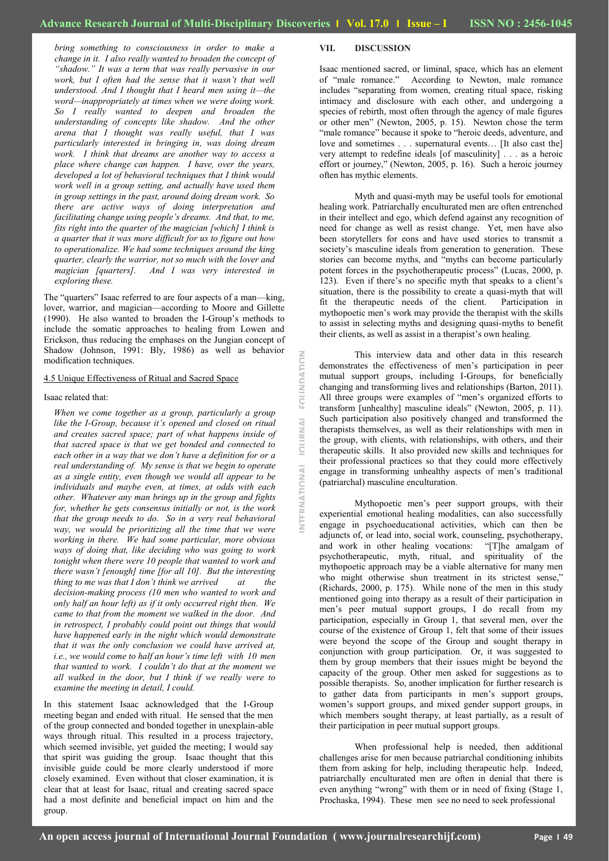NTFRNATIONAL

**IQURNAL** 

FOUNDATION

*bring something to consciousness in order to make a change in it. I also really wanted to broaden the concept of ―shadow.‖ It was a term that was really pervasive in our work, but I often had the sense that it wasn't that well understood. And I thought that I heard men using it—the word—inappropriately at times when we were doing work. So I really wanted to deepen and broaden the understanding of concepts like shadow. And the other arena that I thought was really useful, that I was particularly interested in bringing in, was doing dream work. I think that dreams are another way to access a place where change can happen. I have, over the years, developed a lot of behavioral techniques that I think would work well in a group setting, and actually have used them in group settings in the past, around doing dream work. So there are active ways of doing interpretation and facilitating change using people's dreams. And that, to me, fits right into the quarter of the magician [which] I think is a quarter that it was more difficult for us to figure out how to operationalize. We had some techniques around the king quarter, clearly the warrior, not so much with the lover and magician [quarters]. And I was very interested in exploring these.*

The "quarters" Isaac referred to are four aspects of a man—king, lover, warrior, and magician—according to Moore and Gillette (1990). He also wanted to broaden the I-Group's methods to include the somatic approaches to healing from Lowen and Erickson, thus reducing the emphases on the Jungian concept of Shadow (Johnson, 1991: Bly, 1986) as well as behavior modification techniques.

#### 4.5 Unique Effectiveness of Ritual and Sacred Space

Isaac related that:

*When we come together as a group, particularly a group like the I-Group, because it's opened and closed on ritual and creates sacred space; part of what happens inside of that sacred space is that we get bonded and connected to each other in a way that we don't have a definition for or a real understanding of. My sense is that we begin to operate as a single entity, even though we would all appear to be individuals and maybe even, at times, at odds with each other. Whatever any man brings up in the group and fights for, whether he gets consensus initially or not, is the work that the group needs to do. So in a very real behavioral way, we would be prioritizing all the time that we were working in there. We had some particular, more obvious ways of doing that, like deciding who was going to work tonight when there were 10 people that wanted to work and there wasn't [enough] time [for all 10]. But the interesting thing to me was that I don't think we arrived at the decision-making process (10 men who wanted to work and only half an hour left) as if it only occurred right then. We came to that from the moment we walked in the door. And in retrospect, I probably could point out things that would have happened early in the night which would demonstrate that it was the only conclusion we could have arrived at, i.e., we would come to half an hour's time left with 10 men that wanted to work. I couldn't do that at the moment we all walked in the door, but I think if we really were to examine the meeting in detail, I could.*

In this statement Isaac acknowledged that the I-Group meeting began and ended with ritual. He sensed that the men of the group connected and bonded together in unexplain-able ways through ritual. This resulted in a process trajectory, which seemed invisible, yet guided the meeting; I would say that spirit was guiding the group. Isaac thought that this invisible guide could be more clearly understood if more closely examined. Even without that closer examination, it is clear that at least for Isaac, ritual and creating sacred space had a most definite and beneficial impact on him and the group.

#### **VII. DISCUSSION**

Isaac mentioned sacred, or liminal, space, which has an element of "male romance." According to Newton, male romance includes "separating from women, creating ritual space, risking intimacy and disclosure with each other, and undergoing a species of rebirth, most often through the agency of male figures or other men" (Newton, 2005, p. 15). Newton chose the term "male romance" because it spoke to "heroic deeds, adventure, and love and sometimes . . . supernatural events... [It also cast the] very attempt to redefine ideals [of masculinity] . . . as a heroic effort or journey," (Newton, 2005, p. 16). Such a heroic journey often has mythic elements.

Myth and quasi-myth may be useful tools for emotional healing work. Patriarchally enculturated men are often entrenched in their intellect and ego, which defend against any recognition of need for change as well as resist change. Yet, men have also been storytellers for eons and have used stories to transmit a society's masculine ideals from generation to generation. These stories can become myths, and "myths can become particularly potent forces in the psychotherapeutic process" (Lucas, 2000, p. 123). Even if there's no specific myth that speaks to a client's situation, there is the possibility to create a quasi-myth that will fit the therapeutic needs of the client. Participation in mythopoetic men's work may provide the therapist with the skills to assist in selecting myths and designing quasi-myths to benefit their clients, as well as assist in a therapist's own healing.

This interview data and other data in this research demonstrates the effectiveness of men's participation in peer mutual support groups, including I-Groups, for beneficially changing and transforming lives and relationships (Barton, 2011). All three groups were examples of "men's organized efforts to transform [unhealthy] masculine ideals" (Newton, 2005, p. 11). Such participation also positively changed and transformed the therapists themselves, as well as their relationships with men in the group, with clients, with relationships, with others, and their therapeutic skills. It also provided new skills and techniques for their professional practices so that they could more effectively engage in transforming unhealthy aspects of men's traditional (patriarchal) masculine enculturation.

Mythopoetic men's peer support groups, with their experiential emotional healing modalities, can also successfully engage in psychoeducational activities, which can then be adjuncts of, or lead into, social work, counseling, psychotherapy, and work in other healing vocations: "[T]he amalgam of psychotherapeutic, myth, ritual, and spirituality of the mythopoetic approach may be a viable alternative for many men who might otherwise shun treatment in its strictest sense," (Richards, 2000, p. 175). While none of the men in this study mentioned going into therapy as a result of their participation in men's peer mutual support groups, I do recall from my participation, especially in Group 1, that several men, over the course of the existence of Group 1, felt that some of their issues were beyond the scope of the Group and sought therapy in conjunction with group participation. Or, it was suggested to them by group members that their issues might be beyond the capacity of the group. Other men asked for suggestions as to possible therapists. So, another implication for further research is to gather data from participants in men's support groups, women's support groups, and mixed gender support groups, in which members sought therapy, at least partially, as a result of their participation in peer mutual support groups.

When professional help is needed, then additional challenges arise for men because patriarchal conditioning inhibits them from asking for help, including therapeutic help. Indeed, patriarchally enculturated men are often in denial that there is even anything "wrong" with them or in need of fixing (Stage 1, Prochaska, 1994). These men see no need to seek professional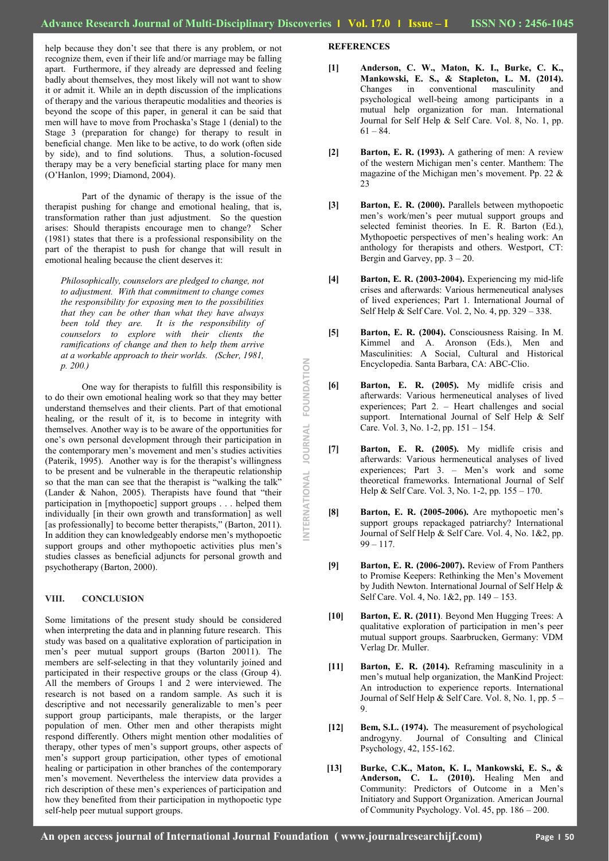NTERNATIONAL JOURNAL FOUNDATION **INTERNATIONAL JOURNAL FOUNDATION**

help because they don't see that there is any problem, or not recognize them, even if their life and/or marriage may be falling apart. Furthermore, if they already are depressed and feeling badly about themselves, they most likely will not want to show it or admit it. While an in depth discussion of the implications of therapy and the various therapeutic modalities and theories is beyond the scope of this paper, in general it can be said that men will have to move from Prochaska's Stage 1 (denial) to the Stage 3 (preparation for change) for therapy to result in beneficial change. Men like to be active, to do work (often side by side), and to find solutions. Thus, a solution-focused therapy may be a very beneficial starting place for many men (O'Hanlon, 1999; Diamond, 2004).

Part of the dynamic of therapy is the issue of the therapist pushing for change and emotional healing, that is, transformation rather than just adjustment. So the question arises: Should therapists encourage men to change? Scher (1981) states that there is a professional responsibility on the part of the therapist to push for change that will result in emotional healing because the client deserves it:

*Philosophically, counselors are pledged to change, not to adjustment. With that commitment to change comes the responsibility for exposing men to the possibilities that they can be other than what they have always been told they are. It is the responsibility of counselors to explore with their clients the ramifications of change and then to help them arrive at a workable approach to their worlds. (Scher, 1981, p. 200.)*

One way for therapists to fulfill this responsibility is to do their own emotional healing work so that they may better understand themselves and their clients. Part of that emotional healing, or the result of it, is to become in integrity with themselves. Another way is to be aware of the opportunities for one's own personal development through their participation in the contemporary men's movement and men's studies activities (Paterik, 1995). Another way is for the therapist's willingness to be present and be vulnerable in the therapeutic relationship so that the man can see that the therapist is "walking the talk" (Lander  $& \text{Nahon}, 2005$ ). Therapists have found that "their participation in [mythopoetic] support groups . . . helped them individually [in their own growth and transformation] as well [as professionally] to become better therapists," (Barton, 2011). In addition they can knowledgeably endorse men's mythopoetic support groups and other mythopoetic activities plus men's studies classes as beneficial adjuncts for personal growth and psychotherapy (Barton, 2000).

## **VIII. CONCLUSION**

Some limitations of the present study should be considered when interpreting the data and in planning future research. This study was based on a qualitative exploration of participation in men's peer mutual support groups (Barton 20011). The members are self-selecting in that they voluntarily joined and participated in their respective groups or the class (Group 4). All the members of Groups 1 and 2 were interviewed. The research is not based on a random sample. As such it is descriptive and not necessarily generalizable to men's peer support group participants, male therapists, or the larger population of men. Other men and other therapists might respond differently. Others might mention other modalities of therapy, other types of men's support groups, other aspects of men's support group participation, other types of emotional healing or participation in other branches of the contemporary men's movement. Nevertheless the interview data provides a rich description of these men's experiences of participation and how they benefited from their participation in mythopoetic type self-help peer mutual support groups.

# **REFERENCES**

- **[1] Anderson, C. W., Maton, K. I., Burke, C. K., Mankowski, E. S., & Stapleton, L. M. (2014).**  Changes in conventional masculinity and psychological well-being among participants in a mutual help organization for man. International Journal for Self Help & Self Care. Vol. 8, No. 1, pp.  $61 - 84.$
- **[2] Barton, E. R. (1993).** A gathering of men: A review of the western Michigan men's center. Manthem: The magazine of the Michigan men's movement. Pp. 22 & 23
- **[3] Barton, E. R. (2000).** Parallels between mythopoetic men's work/men's peer mutual support groups and selected feminist theories. In E. R. Barton (Ed.), Mythopoetic perspectives of men's healing work: An anthology for therapists and others. Westport, CT: Bergin and Garvey, pp.  $3 - 20$ .
- **[4] Barton, E. R. (2003-2004).** Experiencing my mid-life crises and afterwards: Various hermeneutical analyses of lived experiences; Part 1. International Journal of Self Help & Self Care. Vol. 2, No. 4, pp. 329 – 338.
- **[5] Barton, E. R. (2004).** Consciousness Raising. In M. Kimmel and A. Aronson (Eds.), Men and Masculinities: A Social, Cultural and Historical Encyclopedia. Santa Barbara, CA: ABC-Clio.
- **[6] Barton, E. R. (2005).** My midlife crisis and afterwards: Various hermeneutical analyses of lived experiences; Part 2. – Heart challenges and social support. International Journal of Self Help & Self Care. Vol. 3, No. 1-2, pp. 151 – 154.
- **[7] Barton, E. R. (2005).** My midlife crisis and afterwards: Various hermeneutical analyses of lived experiences; Part 3. – Men's work and some theoretical frameworks. International Journal of Self Help & Self Care. Vol. 3, No. 1-2, pp. 155 – 170.
- **[8] Barton, E. R. (2005-2006).** Are mythopoetic men's support groups repackaged patriarchy? International Journal of Self Help & Self Care. Vol. 4, No. 1&2, pp.  $99 - 117$ .
- **[9] Barton, E. R. (2006-2007).** Review of From Panthers to Promise Keepers: Rethinking the Men's Movement by Judith Newton. International Journal of Self Help & Self Care. Vol. 4, No. 1&2, pp. 149 – 153.
- **[10] Barton, E. R. (2011)**. Beyond Men Hugging Trees: A qualitative exploration of participation in men's peer mutual support groups. Saarbrucken, Germany: VDM Verlag Dr. Muller.
- **[11] Barton, E. R. (2014).** Reframing masculinity in a men's mutual help organization, the ManKind Project: An introduction to experience reports. International Journal of Self Help & Self Care. Vol. 8, No. 1, pp. 5 – 9.
- **[12] Bem, S.L. (1974).** The measurement of psychological androgyny. Journal of Consulting and Clinical Psychology, 42, 155-162.
- **[13] Burke, C.K., Maton, K. I., Mankowski, E. S., & Anderson, C. L. (2010).** Healing Men and Community: Predictors of Outcome in a Men's Initiatory and Support Organization. American Journal of Community Psychology. Vol. 45, pp. 186 – 200.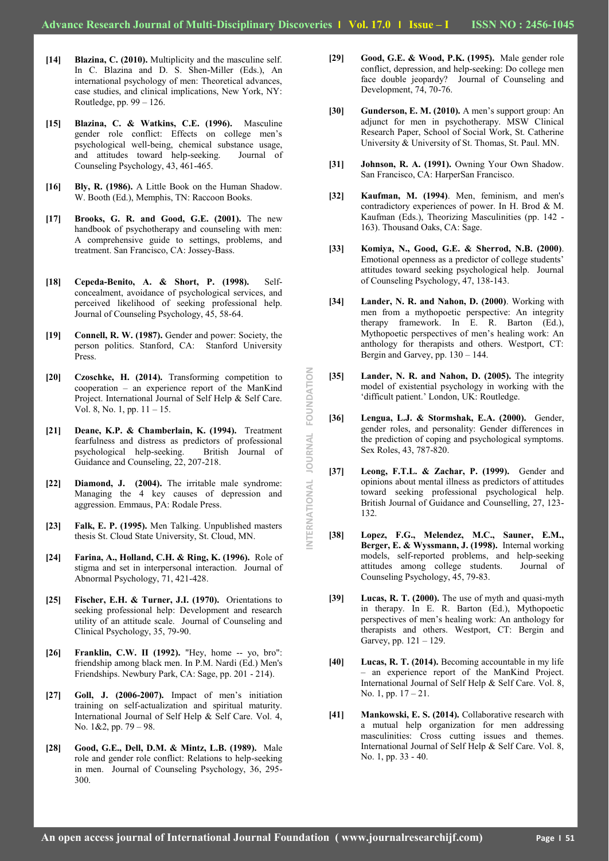**INTERNATIONAL JOURNAL FOUNDATION**NTERNATIONAL JOURNAL FOUNDATION

- **[14] Blazina, C. (2010).** Multiplicity and the masculine self. In C. Blazina and D. S. Shen-Miller (Eds.), An international psychology of men: Theoretical advances, case studies, and clinical implications, New York, NY: Routledge, pp. 99 – 126.
- **[15] Blazina, C. & Watkins, C.E. (1996).** Masculine gender role conflict: Effects on college men's psychological well-being, chemical substance usage, and attitudes toward help-seeking. Journal of Counseling Psychology, 43, 461-465.
- **[16] Bly, R. (1986).** A Little Book on the Human Shadow. W. Booth (Ed.), Memphis, TN: Raccoon Books.
- **[17] Brooks, G. R. and Good, G.E. (2001).** The new handbook of psychotherapy and counseling with men: A comprehensive guide to settings, problems, and treatment. San Francisco, CA: Jossey-Bass.
- **[18] Cepeda-Benito, A. & Short, P. (1998).** Selfconcealment, avoidance of psychological services, and perceived likelihood of seeking professional help. Journal of Counseling Psychology, 45, 58-64.
- **[19] Connell, R. W. (1987).** Gender and power: Society, the person politics. Stanford, CA: Stanford University Press.
- **[20] Czoschke, H. (2014).** Transforming competition to cooperation – an experience report of the ManKind Project. International Journal of Self Help & Self Care. Vol. 8, No. 1, pp. 11 – 15.
- **[21] Deane, K.P. & Chamberlain, K. (1994).** Treatment fearfulness and distress as predictors of professional psychological help-seeking. British Journal of Guidance and Counseling, 22, 207-218.
- **[22] Diamond, J. (2004).** The irritable male syndrome: Managing the 4 key causes of depression and aggression. Emmaus, PA: Rodale Press.
- **[23] Falk, E. P. (1995).** Men Talking. Unpublished masters thesis St. Cloud State University, St. Cloud, MN.
- **[24] Farina, A., Holland, C.H. & Ring, K. (1996).** Role of stigma and set in interpersonal interaction. Journal of Abnormal Psychology, 71, 421-428.
- **[25] Fischer, E.H. & Turner, J.I. (1970).** Orientations to seeking professional help: Development and research utility of an attitude scale. Journal of Counseling and Clinical Psychology, 35, 79-90.
- **[26] Franklin, C.W. II (1992).** "Hey, home -- yo, bro": friendship among black men. In P.M. Nardi (Ed.) Men's Friendships. Newbury Park, CA: Sage, pp. 201 - 214).
- **[27] Goll, J. (2006-2007).** Impact of men's initiation training on self-actualization and spiritual maturity. International Journal of Self Help & Self Care. Vol. 4, No. 1&2, pp. 79 – 98.
- **[28] Good, G.E., Dell, D.M. & Mintz, L.B. (1989).** Male role and gender role conflict: Relations to help-seeking in men. Journal of Counseling Psychology, 36, 295- 300.
- **[29] Good, G.E. & Wood, P.K. (1995).** Male gender role conflict, depression, and help-seeking: Do college men face double jeopardy? Journal of Counseling and Development, 74, 70-76.
- **[30] Gunderson, E. M. (2010).** A men's support group: An adjunct for men in psychotherapy. MSW Clinical Research Paper, School of Social Work, St. Catherine University & University of St. Thomas, St. Paul. MN.
- **[31] Johnson, R. A. (1991).** Owning Your Own Shadow. San Francisco, CA: HarperSan Francisco.
- **[32] Kaufman, M. (1994)**. Men, feminism, and men's contradictory experiences of power. In H. Brod & M. Kaufman (Eds.), Theorizing Masculinities (pp. 142 - 163). Thousand Oaks, CA: Sage.
- **[33] Komiya, N., Good, G.E. & Sherrod, N.B. (2000)**. Emotional openness as a predictor of college students' attitudes toward seeking psychological help. Journal of Counseling Psychology, 47, 138-143.
- **[34] Lander, N. R. and Nahon, D. (2000)**. Working with men from a mythopoetic perspective: An integrity therapy framework. In E. R. Barton (Ed.), Mythopoetic perspectives of men's healing work: An anthology for therapists and others. Westport, CT: Bergin and Garvey, pp.  $130 - 144$ .
- [35] Lander, N. R. and Nahon, D. (2005). The integrity model of existential psychology in working with the 'difficult patient.' London, UK: Routledge.
- **[36] Lengua, L.J. & Stormshak, E.A. (2000).** Gender, gender roles, and personality: Gender differences in the prediction of coping and psychological symptoms. Sex Roles, 43, 787-820.
- **[37] Leong, F.T.L. & Zachar, P. (1999).** Gender and opinions about mental illness as predictors of attitudes toward seeking professional psychological help. British Journal of Guidance and Counselling, 27, 123- 132.
- **[38] Lopez, F.G., Melendez, M.C., Sauner, E.M., Berger, E. & Wyssmann, J. (1998).** Internal working models, self-reported problems, and help-seeking attitudes among college students. Journal of Counseling Psychology, 45, 79-83.
- **[39] Lucas, R. T. (2000).** The use of myth and quasi-myth in therapy. In E. R. Barton (Ed.), Mythopoetic perspectives of men's healing work: An anthology for therapists and others. Westport, CT: Bergin and Garvey, pp. 121 – 129.
- **[40] Lucas, R. T. (2014).** Becoming accountable in my life – an experience report of the ManKind Project. International Journal of Self Help & Self Care. Vol. 8, No. 1, pp. 17 – 21.
- **[41] Mankowski, E. S. (2014).** Collaborative research with a mutual help organization for men addressing masculinities: Cross cutting issues and themes. International Journal of Self Help & Self Care. Vol. 8, No. 1, pp. 33 - 40.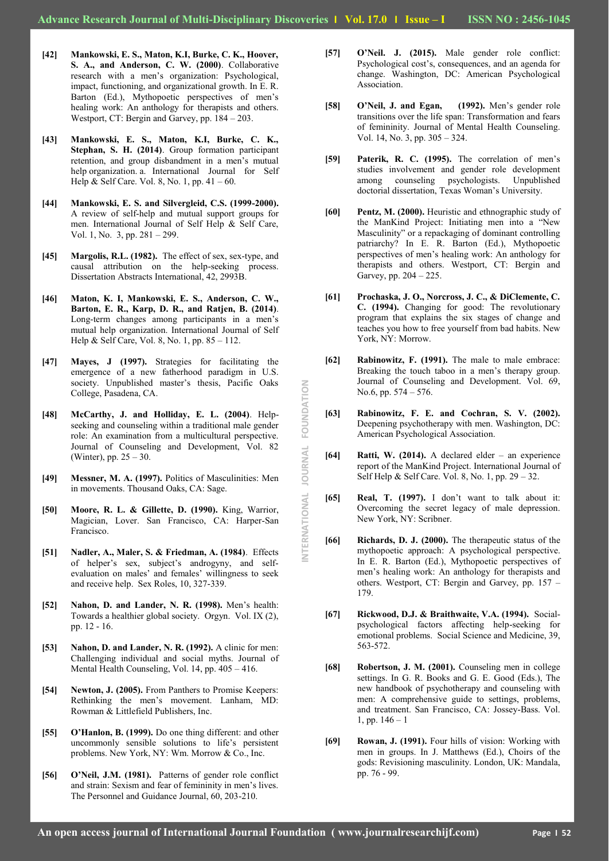NTERNATIONAL

JOURNAL

FOUNDATION

- **[42] Mankowski, E. S., Maton, K.I, Burke, C. K., Hoover, S. A., and Anderson, C. W. (2000)**. Collaborative research with a men's organization: Psychological, impact, functioning, and organizational growth. In E. R. Barton (Ed.), Mythopoetic perspectives of men's healing work: An anthology for therapists and others. Westport, CT: Bergin and Garvey, pp. 184 – 203.
- **[43] Mankowski, E. S., Maton, K.I, Burke, C. K., Stephan, S. H. (2014)**. Group formation participant retention, and group disbandment in a men's mutual help organization. a. International Journal for Self Help & Self Care. Vol. 8, No. 1, pp. 41 – 60.
- **[44] Mankowski, E. S. and Silvergleid, C.S. (1999-2000).** A review of self-help and mutual support groups for men. International Journal of Self Help & Self Care, Vol. 1, No. 3, pp. 281 – 299.
- **[45] Margolis, R.L. (1982).** The effect of sex, sex-type, and causal attribution on the help-seeking process. Dissertation Abstracts International, 42, 2993B.
- **[46] Maton, K. I, Mankowski, E. S., Anderson, C. W., Barton, E. R., Karp, D. R., and Ratjen, B. (2014)**. Long-term changes among participants in a men's mutual help organization. International Journal of Self Help & Self Care, Vol. 8, No. 1, pp. 85 – 112.
- **[47] Mayes, J (1997).** Strategies for facilitating the emergence of a new fatherhood paradigm in U.S. society. Unpublished master's thesis, Pacific Oaks College, Pasadena, CA.
- **[48] McCarthy, J. and Holliday, E. L. (2004)**. Helpseeking and counseling within a traditional male gender role: An examination from a multicultural perspective. Journal of Counseling and Development, Vol. 82 (Winter), pp. 25 – 30.
- **[49] Messner, M. A. (1997).** Politics of Masculinities: Men in movements. Thousand Oaks, CA: Sage.
- **[50] Moore, R. L. & Gillette, D. (1990).** King, Warrior, Magician, Lover. San Francisco, CA: Harper-San Francisco.
- **[51] Nadler, A., Maler, S. & Friedman, A. (1984)**. Effects of helper's sex, subject's androgyny, and selfevaluation on males' and females' willingness to seek and receive help. Sex Roles, 10, 327-339.
- **[52] Nahon, D. and Lander, N. R. (1998).** Men's health: Towards a healthier global society. Orgyn. Vol. IX (2), pp. 12 - 16.
- **[53] Nahon, D. and Lander, N. R. (1992).** A clinic for men: Challenging individual and social myths. Journal of Mental Health Counseling, Vol. 14, pp. 405 – 416.
- **[54] Newton, J. (2005).** From Panthers to Promise Keepers: Rethinking the men's movement. Lanham, MD: Rowman & Littlefield Publishers, Inc.
- **[55] O'Hanlon, B. (1999).** Do one thing different: and other uncommonly sensible solutions to life's persistent problems. New York, NY: Wm. Morrow & Co., Inc.
- **[56] O'Neil, J.M. (1981).** Patterns of gender role conflict and strain: Sexism and fear of femininity in men's lives. The Personnel and Guidance Journal, 60, 203-210.
- **[57] O'Neil. J. (2015).** Male gender role conflict: Psychological cost's, consequences, and an agenda for change. Washington, DC: American Psychological Association.
- **[58] O'Neil, J. and Egan, (1992).** Men's gender role transitions over the life span: Transformation and fears of femininity. Journal of Mental Health Counseling. Vol. 14, No. 3, pp. 305 – 324.
- **[59] Paterik, R. C. (1995).** The correlation of men's studies involvement and gender role development among counseling psychologists. Unpublished doctorial dissertation, Texas Woman's University.
- **[60] Pentz, M. (2000).** Heuristic and ethnographic study of the ManKind Project: Initiating men into a "New Masculinity" or a repackaging of dominant controlling patriarchy? In E. R. Barton (Ed.), Mythopoetic perspectives of men's healing work: An anthology for therapists and others. Westport, CT: Bergin and Garvey, pp. 204 – 225.
- **[61] Prochaska, J. O., Norcross, J. C., & DiClemente, C. C. (1994).** Changing for good: The revolutionary program that explains the six stages of change and teaches you how to free yourself from bad habits. New York, NY: Morrow.
- **[62] Rabinowitz, F. (1991).** The male to male embrace: Breaking the touch taboo in a men's therapy group. Journal of Counseling and Development. Vol. 69, No.6, pp. 574 – 576.
- **[63] Rabinowitz, F. E. and Cochran, S. V. (2002).** Deepening psychotherapy with men. Washington, DC: American Psychological Association.
- **[64] Ratti, W. (2014).** A declared elder an experience report of the ManKind Project. International Journal of Self Help & Self Care. Vol. 8, No. 1, pp. 29 – 32.
- **[65] Real, T. (1997).** I don't want to talk about it: Overcoming the secret legacy of male depression. New York, NY: Scribner.
- **[66] Richards, D. J. (2000).** The therapeutic status of the mythopoetic approach: A psychological perspective. In E. R. Barton (Ed.), Mythopoetic perspectives of men's healing work: An anthology for therapists and others. Westport, CT: Bergin and Garvey, pp. 157 – 179.
- **[67] Rickwood, D.J. & Braithwaite, V.A. (1994).** Socialpsychological factors affecting help-seeking for emotional problems. Social Science and Medicine, 39, 563-572.
- **[68] Robertson, J. M. (2001).** Counseling men in college settings. In G. R. Books and G. E. Good (Eds.), The new handbook of psychotherapy and counseling with men: A comprehensive guide to settings, problems, and treatment. San Francisco, CA: Jossey-Bass. Vol. 1, pp.  $146 - 1$
- **[69] Rowan, J. (1991).** Four hills of vision: Working with men in groups. In J. Matthews (Ed.), Choirs of the gods: Revisioning masculinity. London, UK: Mandala, pp. 76 - 99.